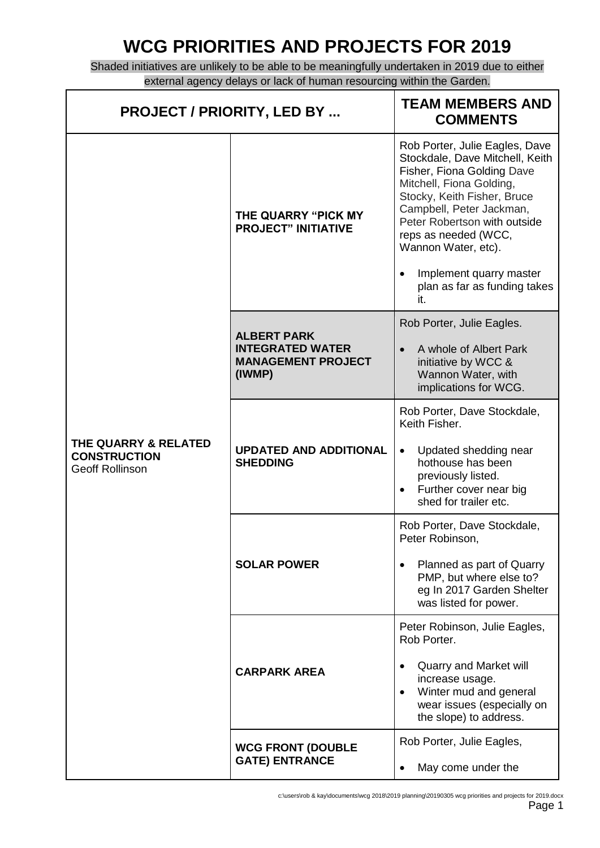## **WCG PRIORITIES AND PROJECTS FOR 2019**

Shaded initiatives are unlikely to be able to be meaningfully undertaken in 2019 due to either external agency delays or lack of human resourcing within the Garden.

| <b>PROJECT / PRIORITY, LED BY </b>                                    |                                                                                      | <b>TEAM MEMBERS AND</b><br><b>COMMENTS</b>                                                                                                                                                                                                                                                                                              |
|-----------------------------------------------------------------------|--------------------------------------------------------------------------------------|-----------------------------------------------------------------------------------------------------------------------------------------------------------------------------------------------------------------------------------------------------------------------------------------------------------------------------------------|
| THE QUARRY & RELATED<br><b>CONSTRUCTION</b><br><b>Geoff Rollinson</b> | THE QUARRY "PICK MY<br><b>PROJECT" INITIATIVE</b>                                    | Rob Porter, Julie Eagles, Dave<br>Stockdale, Dave Mitchell, Keith<br>Fisher, Fiona Golding Dave<br>Mitchell, Fiona Golding,<br>Stocky, Keith Fisher, Bruce<br>Campbell, Peter Jackman,<br>Peter Robertson with outside<br>reps as needed (WCC,<br>Wannon Water, etc).<br>Implement quarry master<br>plan as far as funding takes<br>it. |
|                                                                       | <b>ALBERT PARK</b><br><b>INTEGRATED WATER</b><br><b>MANAGEMENT PROJECT</b><br>(IWMP) | Rob Porter, Julie Eagles.<br>A whole of Albert Park<br>initiative by WCC &<br>Wannon Water, with<br>implications for WCG.                                                                                                                                                                                                               |
|                                                                       | <b>UPDATED AND ADDITIONAL</b><br><b>SHEDDING</b>                                     | Rob Porter, Dave Stockdale,<br>Keith Fisher.<br>Updated shedding near<br>hothouse has been<br>previously listed.<br>Further cover near big<br>shed for trailer etc.                                                                                                                                                                     |
|                                                                       | <b>SOLAR POWER</b>                                                                   | Rob Porter, Dave Stockdale,<br>Peter Robinson.<br>Planned as part of Quarry<br>PMP, but where else to?<br>eg In 2017 Garden Shelter<br>was listed for power.                                                                                                                                                                            |
|                                                                       | <b>CARPARK AREA</b>                                                                  | Peter Robinson, Julie Eagles,<br>Rob Porter.<br>Quarry and Market will<br>increase usage.<br>Winter mud and general<br>wear issues (especially on<br>the slope) to address.                                                                                                                                                             |
|                                                                       | <b>WCG FRONT (DOUBLE</b><br><b>GATE) ENTRANCE</b>                                    | Rob Porter, Julie Eagles,<br>May come under the                                                                                                                                                                                                                                                                                         |

c:\users\rob & kay\documents\wcg 2018\2019 planning\20190305 wcg priorities and projects for 2019.docx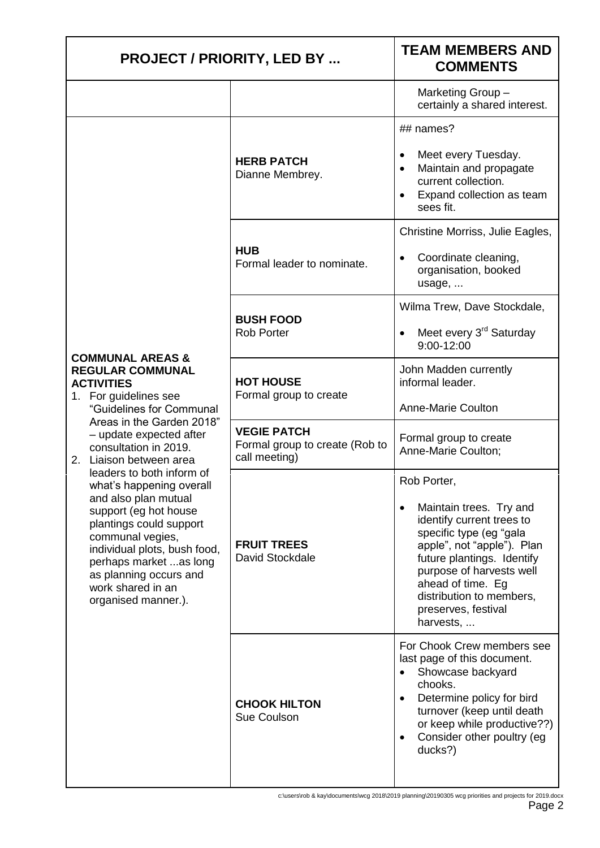| <b>PROJECT / PRIORITY, LED BY </b>                                                                                                                                                                                                                                                                                                                                                                |                                                                       | <b>TEAM MEMBERS AND</b><br><b>COMMENTS</b>                                                                                                                                                                                                                                  |
|---------------------------------------------------------------------------------------------------------------------------------------------------------------------------------------------------------------------------------------------------------------------------------------------------------------------------------------------------------------------------------------------------|-----------------------------------------------------------------------|-----------------------------------------------------------------------------------------------------------------------------------------------------------------------------------------------------------------------------------------------------------------------------|
|                                                                                                                                                                                                                                                                                                                                                                                                   |                                                                       | Marketing Group-<br>certainly a shared interest.                                                                                                                                                                                                                            |
|                                                                                                                                                                                                                                                                                                                                                                                                   | <b>HERB PATCH</b><br>Dianne Membrey.                                  | ## names?<br>Meet every Tuesday.<br>Maintain and propagate<br>current collection.<br>Expand collection as team<br>sees fit.                                                                                                                                                 |
|                                                                                                                                                                                                                                                                                                                                                                                                   | <b>HUB</b><br>Formal leader to nominate.                              | Christine Morriss, Julie Eagles,<br>Coordinate cleaning,<br>organisation, booked<br>usage,                                                                                                                                                                                  |
|                                                                                                                                                                                                                                                                                                                                                                                                   | <b>BUSH FOOD</b><br><b>Rob Porter</b>                                 | Wilma Trew, Dave Stockdale,<br>Meet every 3 <sup>rd</sup> Saturday<br>9:00-12:00                                                                                                                                                                                            |
| <b>COMMUNAL AREAS &amp;</b><br><b>REGULAR COMMUNAL</b><br><b>ACTIVITIES</b><br>1. For guidelines see<br>"Guidelines for Communal                                                                                                                                                                                                                                                                  | <b>HOT HOUSE</b><br>Formal group to create                            | John Madden currently<br>informal leader.<br><b>Anne-Marie Coulton</b>                                                                                                                                                                                                      |
| Areas in the Garden 2018"<br>- update expected after<br>consultation in 2019.<br>2. Liaison between area<br>leaders to both inform of<br>what's happening overall<br>and also plan mutual<br>support (eg hot house<br>plantings could support<br>communal vegies,<br>individual plots, bush food,<br>perhaps market as long<br>as planning occurs and<br>work shared in an<br>organised manner.). | <b>VEGIE PATCH</b><br>Formal group to create (Rob to<br>call meeting) | Formal group to create<br>Anne-Marie Coulton;                                                                                                                                                                                                                               |
|                                                                                                                                                                                                                                                                                                                                                                                                   | <b>FRUIT TREES</b><br>David Stockdale                                 | Rob Porter,<br>Maintain trees. Try and<br>identify current trees to<br>specific type (eg "gala<br>apple", not "apple"). Plan<br>future plantings. Identify<br>purpose of harvests well<br>ahead of time. Eg<br>distribution to members,<br>preserves, festival<br>harvests, |
|                                                                                                                                                                                                                                                                                                                                                                                                   | <b>CHOOK HILTON</b><br>Sue Coulson                                    | For Chook Crew members see<br>last page of this document.<br>Showcase backyard<br>chooks.<br>Determine policy for bird<br>$\bullet$<br>turnover (keep until death<br>or keep while productive??)<br>Consider other poultry (eg<br>ducks?)                                   |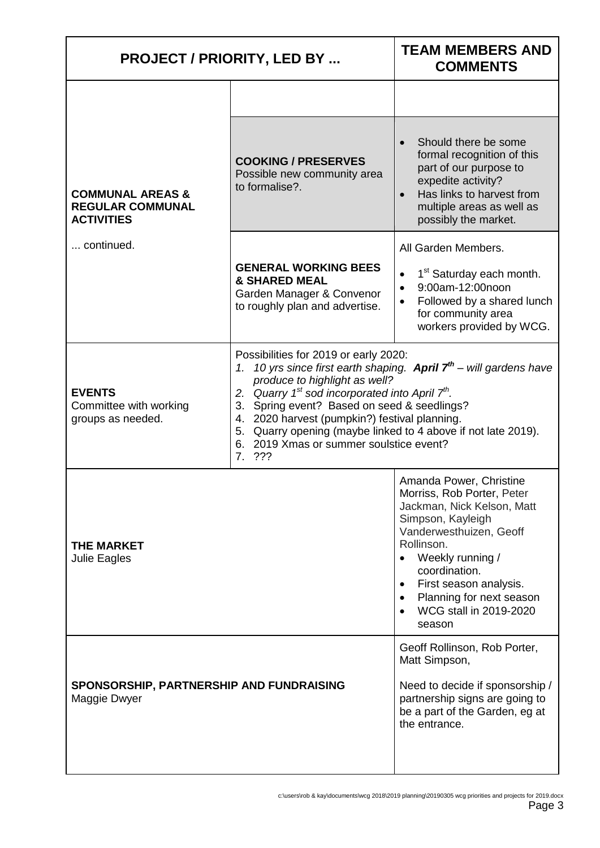| <b>PROJECT / PRIORITY, LED BY </b>                                                        |                                                                                                                                                                                                                                                                                                                                                                                                                                      | <b>TEAM MEMBERS AND</b><br><b>COMMENTS</b>                                                                                                                                                                                                                                                    |
|-------------------------------------------------------------------------------------------|--------------------------------------------------------------------------------------------------------------------------------------------------------------------------------------------------------------------------------------------------------------------------------------------------------------------------------------------------------------------------------------------------------------------------------------|-----------------------------------------------------------------------------------------------------------------------------------------------------------------------------------------------------------------------------------------------------------------------------------------------|
|                                                                                           |                                                                                                                                                                                                                                                                                                                                                                                                                                      |                                                                                                                                                                                                                                                                                               |
| <b>COMMUNAL AREAS &amp;</b><br><b>REGULAR COMMUNAL</b><br><b>ACTIVITIES</b><br>continued. | <b>COOKING / PRESERVES</b><br>Possible new community area<br>to formalise?.                                                                                                                                                                                                                                                                                                                                                          | Should there be some<br>formal recognition of this<br>part of our purpose to<br>expedite activity?<br>Has links to harvest from<br>$\bullet$<br>multiple areas as well as<br>possibly the market.                                                                                             |
|                                                                                           | <b>GENERAL WORKING BEES</b><br><b>&amp; SHARED MEAL</b><br>Garden Manager & Convenor<br>to roughly plan and advertise.                                                                                                                                                                                                                                                                                                               | All Garden Members.<br>1 <sup>st</sup> Saturday each month.<br>$\bullet$<br>9:00am-12:00noon<br>$\bullet$<br>Followed by a shared lunch<br>$\bullet$<br>for community area<br>workers provided by WCG.                                                                                        |
| <b>EVENTS</b><br>Committee with working<br>groups as needed.                              | Possibilities for 2019 or early 2020:<br>10 yrs since first earth shaping. April $7th$ – will gardens have<br>1.<br>produce to highlight as well?<br>2. Quarry $1^{st}$ sod incorporated into April $7^{th}$ .<br>3. Spring event? Based on seed & seedlings?<br>4. 2020 harvest (pumpkin?) festival planning.<br>5. Quarry opening (maybe linked to 4 above if not late 2019).<br>6. 2019 Xmas or summer soulstice event?<br>7. ??? |                                                                                                                                                                                                                                                                                               |
| <b>THE MARKET</b><br>Julie Eagles                                                         |                                                                                                                                                                                                                                                                                                                                                                                                                                      | Amanda Power, Christine<br>Morriss, Rob Porter, Peter<br>Jackman, Nick Kelson, Matt<br>Simpson, Kayleigh<br>Vanderwesthuizen, Geoff<br>Rollinson.<br>Weekly running /<br>coordination.<br>First season analysis.<br>$\bullet$<br>Planning for next season<br>WCG stall in 2019-2020<br>season |
| SPONSORSHIP, PARTNERSHIP AND FUNDRAISING<br>Maggie Dwyer                                  |                                                                                                                                                                                                                                                                                                                                                                                                                                      | Geoff Rollinson, Rob Porter,<br>Matt Simpson,<br>Need to decide if sponsorship /<br>partnership signs are going to<br>be a part of the Garden, eg at<br>the entrance.                                                                                                                         |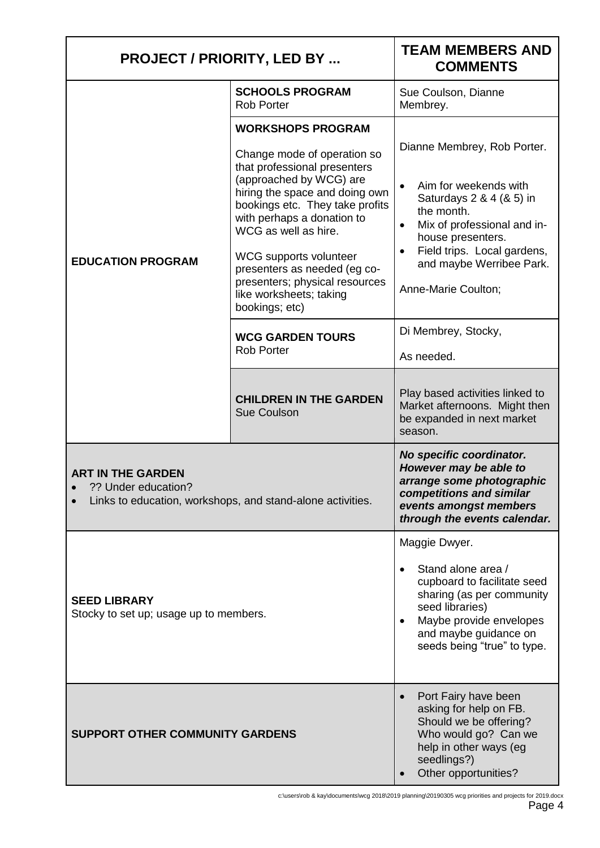| <b>PROJECT / PRIORITY, LED BY </b>                                                                            |                                                                                                                                                                                                                                                                                                                                                                                        | <b>TEAM MEMBERS AND</b><br><b>COMMENTS</b>                                                                                                                                                                                                        |
|---------------------------------------------------------------------------------------------------------------|----------------------------------------------------------------------------------------------------------------------------------------------------------------------------------------------------------------------------------------------------------------------------------------------------------------------------------------------------------------------------------------|---------------------------------------------------------------------------------------------------------------------------------------------------------------------------------------------------------------------------------------------------|
| <b>EDUCATION PROGRAM</b>                                                                                      | <b>SCHOOLS PROGRAM</b><br><b>Rob Porter</b>                                                                                                                                                                                                                                                                                                                                            | Sue Coulson, Dianne<br>Membrey.                                                                                                                                                                                                                   |
|                                                                                                               | <b>WORKSHOPS PROGRAM</b><br>Change mode of operation so<br>that professional presenters<br>(approached by WCG) are<br>hiring the space and doing own<br>bookings etc. They take profits<br>with perhaps a donation to<br>WCG as well as hire.<br>WCG supports volunteer<br>presenters as needed (eg co-<br>presenters; physical resources<br>like worksheets; taking<br>bookings; etc) | Dianne Membrey, Rob Porter.<br>Aim for weekends with<br>$\bullet$<br>Saturdays 2 & 4 (& 5) in<br>the month.<br>Mix of professional and in-<br>house presenters.<br>Field trips. Local gardens,<br>and maybe Werribee Park.<br>Anne-Marie Coulton; |
|                                                                                                               | <b>WCG GARDEN TOURS</b><br><b>Rob Porter</b>                                                                                                                                                                                                                                                                                                                                           | Di Membrey, Stocky,<br>As needed.                                                                                                                                                                                                                 |
|                                                                                                               | <b>CHILDREN IN THE GARDEN</b><br><b>Sue Coulson</b>                                                                                                                                                                                                                                                                                                                                    | Play based activities linked to<br>Market afternoons. Might then<br>be expanded in next market<br>season.                                                                                                                                         |
| <b>ART IN THE GARDEN</b><br>?? Under education?<br>Links to education, workshops, and stand-alone activities. |                                                                                                                                                                                                                                                                                                                                                                                        | No specific coordinator.<br>However may be able to<br>arrange some photographic<br>competitions and similar<br>events amongst members<br>through the events calendar.                                                                             |
| <b>SEED LIBRARY</b><br>Stocky to set up; usage up to members.                                                 |                                                                                                                                                                                                                                                                                                                                                                                        | Maggie Dwyer.<br>Stand alone area /<br>cupboard to facilitate seed<br>sharing (as per community<br>seed libraries)<br>Maybe provide envelopes<br>and maybe guidance on<br>seeds being "true" to type.                                             |
| <b>SUPPORT OTHER COMMUNITY GARDENS</b>                                                                        |                                                                                                                                                                                                                                                                                                                                                                                        | Port Fairy have been<br>$\bullet$<br>asking for help on FB.<br>Should we be offering?<br>Who would go? Can we<br>help in other ways (eg<br>seedlings?)<br>Other opportunities?                                                                    |

c:\users\rob & kay\documents\wcg 2018\2019 planning\20190305 wcg priorities and projects for 2019.docx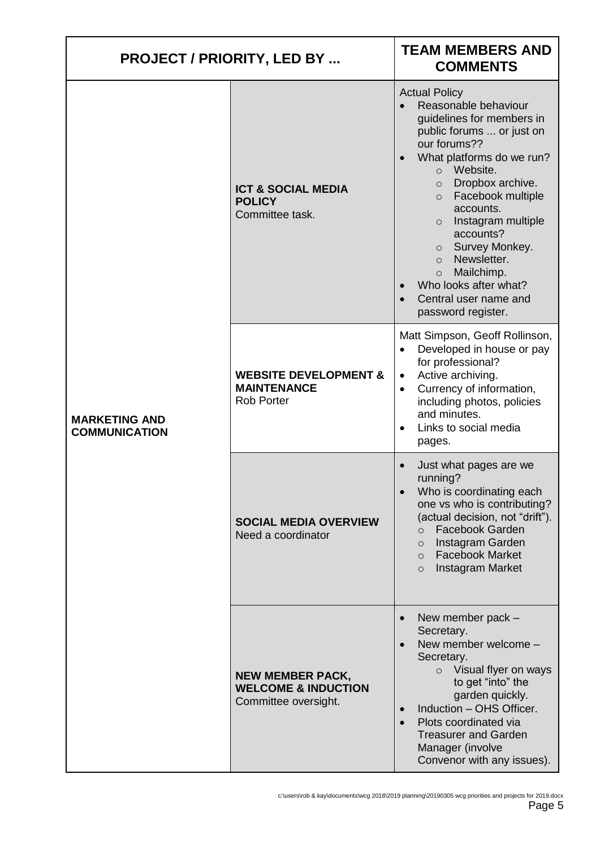| <b>PROJECT / PRIORITY, LED BY </b>           |                                                                                   | <b>TEAM MEMBERS AND</b><br><b>COMMENTS</b>                                                                                                                                                                                                                                                                                                                                                                                                 |
|----------------------------------------------|-----------------------------------------------------------------------------------|--------------------------------------------------------------------------------------------------------------------------------------------------------------------------------------------------------------------------------------------------------------------------------------------------------------------------------------------------------------------------------------------------------------------------------------------|
| <b>MARKETING AND</b><br><b>COMMUNICATION</b> | <b>ICT &amp; SOCIAL MEDIA</b><br><b>POLICY</b><br>Committee task.                 | <b>Actual Policy</b><br>Reasonable behaviour<br>guidelines for members in<br>public forums  or just on<br>our forums??<br>What platforms do we run?<br>o Website.<br>Dropbox archive.<br>$\circ$<br>Facebook multiple<br>$\circ$<br>accounts.<br>Instagram multiple<br>$\circ$<br>accounts?<br>o Survey Monkey.<br>Newsletter.<br>$\circ$<br>Mailchimp.<br>$\circ$<br>Who looks after what?<br>Central user name and<br>password register. |
|                                              | <b>WEBSITE DEVELOPMENT &amp;</b><br><b>MAINTENANCE</b><br><b>Rob Porter</b>       | Matt Simpson, Geoff Rollinson,<br>Developed in house or pay<br>$\bullet$<br>for professional?<br>Active archiving.<br>$\bullet$<br>Currency of information,<br>$\bullet$<br>including photos, policies<br>and minutes.<br>Links to social media<br>$\bullet$<br>pages.                                                                                                                                                                     |
|                                              | <b>SOCIAL MEDIA OVERVIEW</b><br>Need a coordinator                                | Just what pages are we<br>running?<br>Who is coordinating each<br>one vs who is contributing?<br>(actual decision, not "drift").<br><b>Facebook Garden</b><br>$\circ$<br>Instagram Garden<br>$\circ$<br><b>Facebook Market</b><br>$\Omega$<br>Instagram Market<br>$\Omega$                                                                                                                                                                 |
|                                              | <b>NEW MEMBER PACK,</b><br><b>WELCOME &amp; INDUCTION</b><br>Committee oversight. | New member pack -<br>Secretary.<br>New member welcome -<br>Secretary.<br>$\circ$ Visual flyer on ways<br>to get "into" the<br>garden quickly.<br>Induction - OHS Officer.<br>Plots coordinated via<br><b>Treasurer and Garden</b><br>Manager (involve<br>Convenor with any issues).                                                                                                                                                        |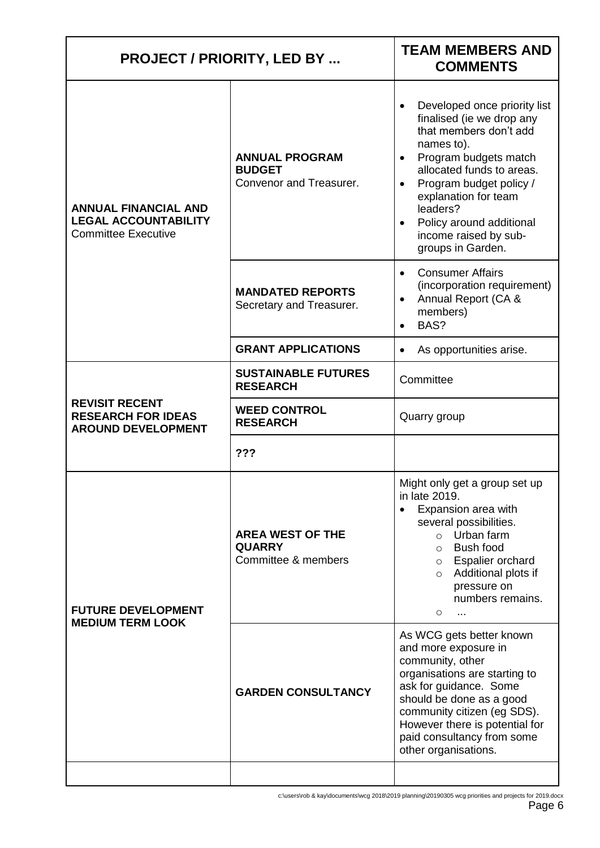| <b>PROJECT / PRIORITY, LED BY </b>                                                       |                                                                   | <b>TEAM MEMBERS AND</b><br><b>COMMENTS</b>                                                                                                                                                                                                                                                       |  |
|------------------------------------------------------------------------------------------|-------------------------------------------------------------------|--------------------------------------------------------------------------------------------------------------------------------------------------------------------------------------------------------------------------------------------------------------------------------------------------|--|
| <b>ANNUAL FINANCIAL AND</b><br><b>LEGAL ACCOUNTABILITY</b><br><b>Committee Executive</b> | <b>ANNUAL PROGRAM</b><br><b>BUDGET</b><br>Convenor and Treasurer. | Developed once priority list<br>finalised (ie we drop any<br>that members don't add<br>names to).<br>Program budgets match<br>allocated funds to areas.<br>Program budget policy /<br>explanation for team<br>leaders?<br>Policy around additional<br>income raised by sub-<br>groups in Garden. |  |
|                                                                                          | <b>MANDATED REPORTS</b><br>Secretary and Treasurer.               | <b>Consumer Affairs</b><br>$\bullet$<br>(incorporation requirement)<br>Annual Report (CA &<br>members)<br>BAS?<br>$\bullet$                                                                                                                                                                      |  |
|                                                                                          | <b>GRANT APPLICATIONS</b>                                         | As opportunities arise.                                                                                                                                                                                                                                                                          |  |
|                                                                                          | <b>SUSTAINABLE FUTURES</b><br><b>RESEARCH</b>                     | Committee                                                                                                                                                                                                                                                                                        |  |
| <b>REVISIT RECENT</b><br><b>RESEARCH FOR IDEAS</b><br><b>AROUND DEVELOPMENT</b>          | <b>WEED CONTROL</b><br><b>RESEARCH</b>                            | Quarry group                                                                                                                                                                                                                                                                                     |  |
|                                                                                          | ???                                                               |                                                                                                                                                                                                                                                                                                  |  |
| <b>FUTURE DEVELOPMENT</b><br><b>MEDIUM TERM LOOK</b>                                     | <b>AREA WEST OF THE</b><br><b>QUARRY</b><br>Committee & members   | Might only get a group set up<br>in late 2019.<br>Expansion area with<br>several possibilities.<br>Urban farm<br>Bush food<br>$\circ$<br>o Espalier orchard<br>o Additional plots if<br>pressure on<br>numbers remains.<br>$\circ$<br>$\ddotsc$                                                  |  |
|                                                                                          | <b>GARDEN CONSULTANCY</b>                                         | As WCG gets better known<br>and more exposure in<br>community, other<br>organisations are starting to<br>ask for guidance. Some<br>should be done as a good<br>community citizen (eg SDS).<br>However there is potential for<br>paid consultancy from some<br>other organisations.               |  |
|                                                                                          |                                                                   |                                                                                                                                                                                                                                                                                                  |  |

c:\users\rob & kay\documents\wcg 2018\2019 planning\20190305 wcg priorities and projects for 2019.docx